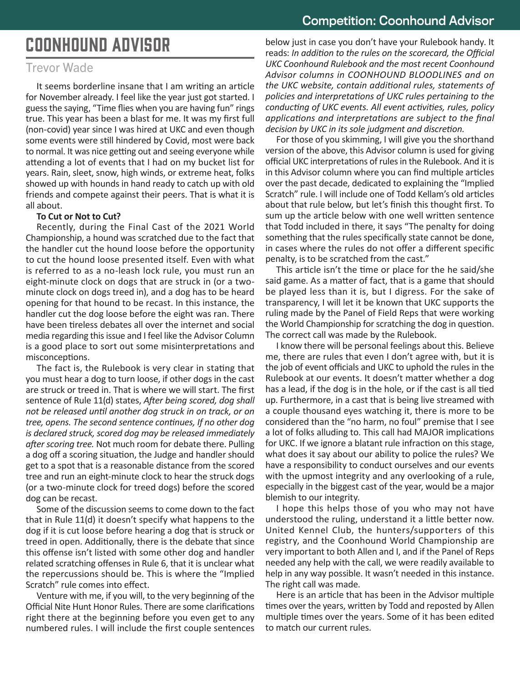# COONHOUND ADVISOR

# Trevor Wade

It seems borderline insane that I am writing an article for November already. I feel like the year just got started. I guess the saying, "Time flies when you are having fun" rings true. This year has been a blast for me. It was my first full (non-covid) year since I was hired at UKC and even though some events were still hindered by Covid, most were back to normal. It was nice getting out and seeing everyone while attending a lot of events that I had on my bucket list for years. Rain, sleet, snow, high winds, or extreme heat, folks showed up with hounds in hand ready to catch up with old friends and compete against their peers. That is what it is all about.

### **To Cut or Not to Cut?**

Recently, during the Final Cast of the 2021 World Championship, a hound was scratched due to the fact that the handler cut the hound loose before the opportunity to cut the hound loose presented itself. Even with what is referred to as a no-leash lock rule, you must run an eight-minute clock on dogs that are struck in (or a twominute clock on dogs treed in), and a dog has to be heard opening for that hound to be recast. In this instance, the handler cut the dog loose before the eight was ran. There have been tireless debates all over the internet and social media regarding this issue and I feel like the Advisor Column is a good place to sort out some misinterpretations and misconceptions.

The fact is, the Rulebook is very clear in stating that you must hear a dog to turn loose, if other dogs in the cast are struck or treed in. That is where we will start. The first sentence of Rule 11(d) states, *After being scored, dog shall not be released until another dog struck in on track, or on tree, opens. The second sentence continues, If no other dog is declared struck, scored dog may be released immediately after scoring tree.* Not much room for debate there. Pulling a dog off a scoring situation, the Judge and handler should get to a spot that is a reasonable distance from the scored tree and run an eight-minute clock to hear the struck dogs (or a two-minute clock for treed dogs) before the scored dog can be recast.

Some of the discussion seems to come down to the fact that in Rule 11(d) it doesn't specify what happens to the dog if it is cut loose before hearing a dog that is struck or treed in open. Additionally, there is the debate that since this offense isn't listed with some other dog and handler related scratching offenses in Rule 6, that it is unclear what the repercussions should be. This is where the "Implied Scratch" rule comes into effect.

Venture with me, if you will, to the very beginning of the Official Nite Hunt Honor Rules. There are some clarifications right there at the beginning before you even get to any numbered rules. I will include the first couple sentences

below just in case you don't have your Rulebook handy. It reads: *In addition to the rules on the scorecard, the Official UKC Coonhound Rulebook and the most recent Coonhound Advisor columns in COONHOUND BLOODLINES and on the UKC website, contain additional rules, statements of policies and interpretations of UKC rules pertaining to the conducting of UKC events. All event activities, rules, policy applications and interpretations are subject to the final decision by UKC in its sole judgment and discretion.* 

For those of you skimming, I will give you the shorthand version of the above, this Advisor column is used for giving official UKC interpretations of rules in the Rulebook. And it is in this Advisor column where you can find multiple articles over the past decade, dedicated to explaining the "Implied Scratch" rule. I will include one of Todd Kellam's old articles about that rule below, but let's finish this thought first. To sum up the article below with one well written sentence that Todd included in there, it says "The penalty for doing something that the rules specifically state cannot be done, in cases where the rules do not offer a different specific penalty, is to be scratched from the cast."

This article isn't the time or place for the he said/she said game. As a matter of fact, that is a game that should be played less than it is, but I digress. For the sake of transparency, I will let it be known that UKC supports the ruling made by the Panel of Field Reps that were working the World Championship for scratching the dog in question. The correct call was made by the Rulebook.

I know there will be personal feelings about this. Believe me, there are rules that even I don't agree with, but it is the job of event officials and UKC to uphold the rules in the Rulebook at our events. It doesn't matter whether a dog has a lead, if the dog is in the hole, or if the cast is all tied up. Furthermore, in a cast that is being live streamed with a couple thousand eyes watching it, there is more to be considered than the "no harm, no foul" premise that I see a lot of folks alluding to. This call had MAJOR implications for UKC. If we ignore a blatant rule infraction on this stage, what does it say about our ability to police the rules? We have a responsibility to conduct ourselves and our events with the upmost integrity and any overlooking of a rule, especially in the biggest cast of the year, would be a major blemish to our integrity.

I hope this helps those of you who may not have understood the ruling, understand it a little better now. United Kennel Club, the hunters/supporters of this registry, and the Coonhound World Championship are very important to both Allen and I, and if the Panel of Reps needed any help with the call, we were readily available to help in any way possible. It wasn't needed in this instance. The right call was made.

Here is an article that has been in the Advisor multiple times over the years, written by Todd and reposted by Allen multiple times over the years. Some of it has been edited to match our current rules.